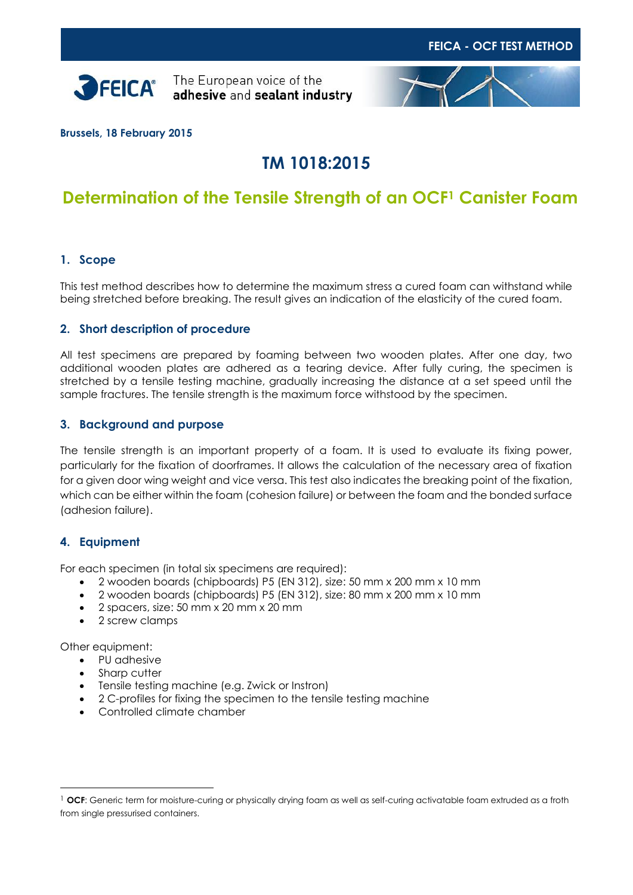



**Brussels, 18 February 2015**

# **TM 1018:2015**

## **Determination of the Tensile Strength of an OCF<sup>1</sup> Canister Foam**

#### **1. Scope**

This test method describes how to determine the maximum stress a cured foam can withstand while being stretched before breaking. The result gives an indication of the elasticity of the cured foam.

#### **2. Short description of procedure**

All test specimens are prepared by foaming between two wooden plates. After one day, two additional wooden plates are adhered as a tearing device. After fully curing, the specimen is stretched by a tensile testing machine, gradually increasing the distance at a set speed until the sample fractures. The tensile strength is the maximum force withstood by the specimen.

#### **3. Background and purpose**

The tensile strength is an important property of a foam. It is used to evaluate its fixing power, particularly for the fixation of doorframes. It allows the calculation of the necessary area of fixation for a given door wing weight and vice versa. This test also indicates the breaking point of the fixation, which can be either within the foam (cohesion failure) or between the foam and the bonded surface (adhesion failure).

#### **4. Equipment**

For each specimen (in total six specimens are required):

- 2 wooden boards (chipboards) P5 (EN 312), size: 50 mm x 200 mm x 10 mm
- 2 wooden boards (chipboards) P5 (EN 312), size: 80 mm x 200 mm x 10 mm
- 2 spacers, size: 50 mm x 20 mm x 20 mm
- 2 screw clamps

Other equipment:

 $\overline{a}$ 

- PU adhesive
- Sharp cutter
- Tensile testing machine (e.g. Zwick or Instron)
- 2 C-profiles for fixing the specimen to the tensile testing machine
- Controlled climate chamber

<sup>1</sup> **OCF**: Generic term for moisture-curing or physically drying foam as well as self-curing activatable foam extruded as a froth from single pressurised containers.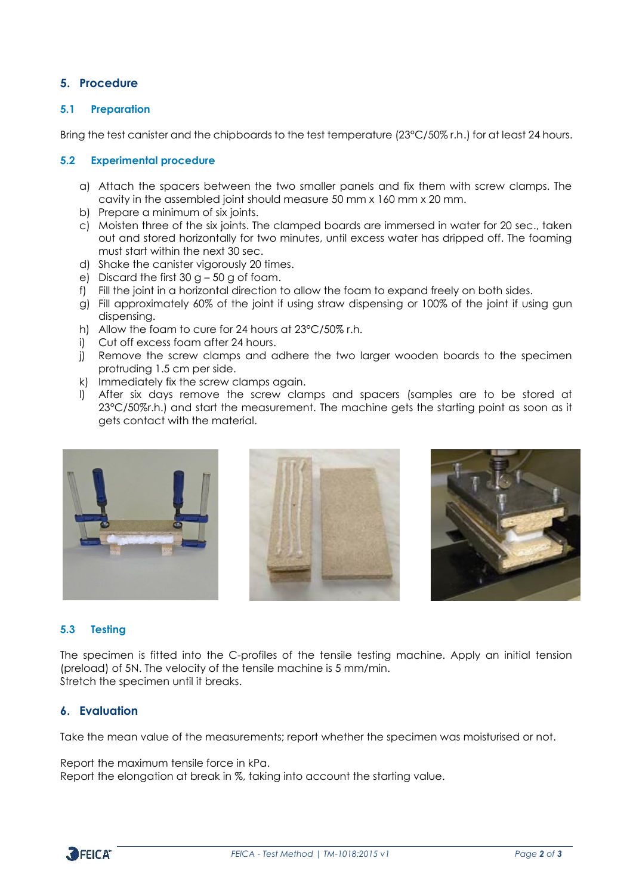### **5. Procedure**

#### **5.1 Preparation**

Bring the test canister and the chipboards to the test temperature (23°C/50% r.h.) for at least 24 hours.

#### **5.2 Experimental procedure**

- a) Attach the spacers between the two smaller panels and fix them with screw clamps. The cavity in the assembled joint should measure 50 mm x 160 mm x 20 mm.
- b) Prepare a minimum of six joints.
- c) Moisten three of the six joints. The clamped boards are immersed in water for 20 sec., taken out and stored horizontally for two minutes, until excess water has dripped off. The foaming must start within the next 30 sec.
- d) Shake the canister vigorously 20 times.
- e) Discard the first  $30 q 50 q$  of foam.
- f) Fill the joint in a horizontal direction to allow the foam to expand freely on both sides.
- g) Fill approximately 60% of the joint if using straw dispensing or 100% of the joint if using gun dispensing.
- h) Allow the foam to cure for 24 hours at 23°C/50% r.h.
- i) Cut off excess foam after 24 hours.
- j) Remove the screw clamps and adhere the two larger wooden boards to the specimen protruding 1.5 cm per side.
- k) Immediately fix the screw clamps again.
- l) After six days remove the screw clamps and spacers (samples are to be stored at 23°C/50%r.h.) and start the measurement. The machine gets the starting point as soon as it gets contact with the material.







#### **5.3 Testing**

The specimen is fitted into the C-profiles of the tensile testing machine. Apply an initial tension (preload) of 5N. The velocity of the tensile machine is 5 mm/min. Stretch the specimen until it breaks.

#### **6. Evaluation**

Take the mean value of the measurements; report whether the specimen was moisturised or not.

Report the maximum tensile force in kPa. Report the elongation at break in %, taking into account the starting value.